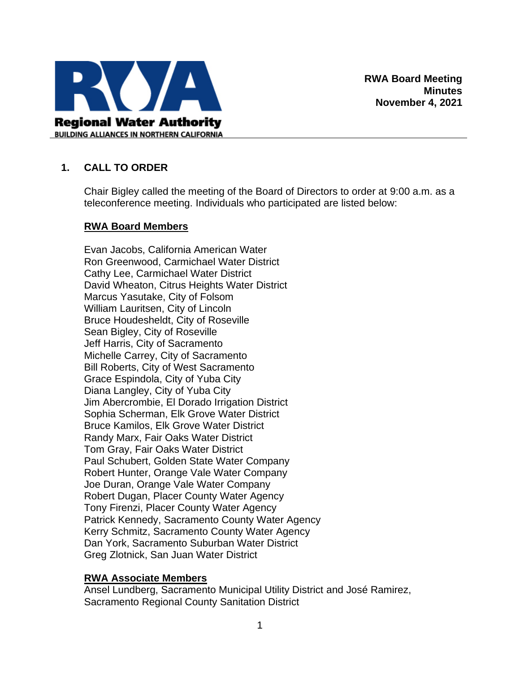

## **1. CALL TO ORDER**

Chair Bigley called the meeting of the Board of Directors to order at 9:00 a.m. as a teleconference meeting. Individuals who participated are listed below:

#### **RWA Board Members**

Evan Jacobs, California American Water Ron Greenwood, Carmichael Water District Cathy Lee, Carmichael Water District David Wheaton, Citrus Heights Water District Marcus Yasutake, City of Folsom William Lauritsen, City of Lincoln Bruce Houdesheldt, City of Roseville Sean Bigley, City of Roseville Jeff Harris, City of Sacramento Michelle Carrey, City of Sacramento Bill Roberts, City of West Sacramento Grace Espindola, City of Yuba City Diana Langley, City of Yuba City Jim Abercrombie, El Dorado Irrigation District Sophia Scherman, Elk Grove Water District Bruce Kamilos, Elk Grove Water District Randy Marx, Fair Oaks Water District Tom Gray, Fair Oaks Water District Paul Schubert, Golden State Water Company Robert Hunter, Orange Vale Water Company Joe Duran, Orange Vale Water Company Robert Dugan, Placer County Water Agency Tony Firenzi, Placer County Water Agency Patrick Kennedy, Sacramento County Water Agency Kerry Schmitz, Sacramento County Water Agency Dan York, Sacramento Suburban Water District Greg Zlotnick, San Juan Water District

### **RWA Associate Members**

Ansel Lundberg, Sacramento Municipal Utility District and José Ramirez, Sacramento Regional County Sanitation District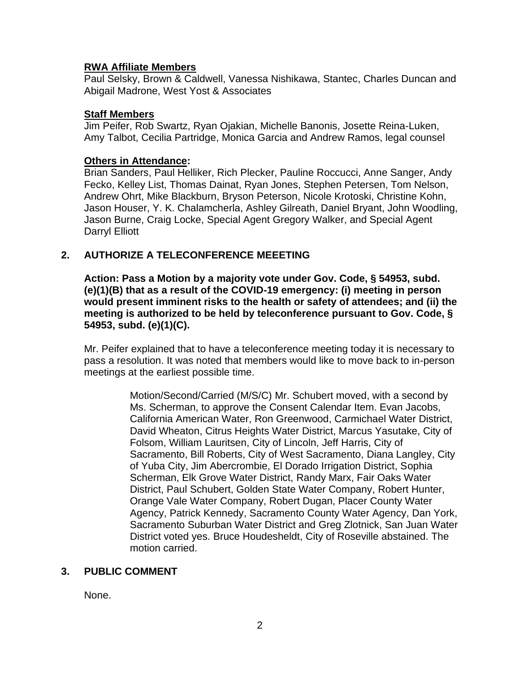### **RWA Affiliate Members**

Paul Selsky, Brown & Caldwell, Vanessa Nishikawa, Stantec, Charles Duncan and Abigail Madrone, West Yost & Associates

#### **Staff Members**

Jim Peifer, Rob Swartz, Ryan Ojakian, Michelle Banonis, Josette Reina-Luken, Amy Talbot, Cecilia Partridge, Monica Garcia and Andrew Ramos, legal counsel

#### **Others in Attendance:**

Brian Sanders, Paul Helliker, Rich Plecker, Pauline Roccucci, Anne Sanger, Andy Fecko, Kelley List, Thomas Dainat, Ryan Jones, Stephen Petersen, Tom Nelson, Andrew Ohrt, Mike Blackburn, Bryson Peterson, Nicole Krotoski, Christine Kohn, Jason Houser, Y. K. Chalamcherla, Ashley Gilreath, Daniel Bryant, John Woodling, Jason Burne, Craig Locke, Special Agent Gregory Walker, and Special Agent Darryl Elliott

### **2. AUTHORIZE A TELECONFERENCE MEEETING**

**Action: Pass a Motion by a majority vote under Gov. Code, § 54953, subd. (e)(1)(B) that as a result of the COVID-19 emergency: (i) meeting in person would present imminent risks to the health or safety of attendees; and (ii) the meeting is authorized to be held by teleconference pursuant to Gov. Code, § 54953, subd. (e)(1)(C).**

Mr. Peifer explained that to have a teleconference meeting today it is necessary to pass a resolution. It was noted that members would like to move back to in-person meetings at the earliest possible time.

> Motion/Second/Carried (M/S/C) Mr. Schubert moved, with a second by Ms. Scherman, to approve the Consent Calendar Item. Evan Jacobs, California American Water, Ron Greenwood, Carmichael Water District, David Wheaton, Citrus Heights Water District, Marcus Yasutake, City of Folsom, William Lauritsen, City of Lincoln, Jeff Harris, City of Sacramento, Bill Roberts, City of West Sacramento, Diana Langley, City of Yuba City, Jim Abercrombie, El Dorado Irrigation District, Sophia Scherman, Elk Grove Water District, Randy Marx, Fair Oaks Water District, Paul Schubert, Golden State Water Company, Robert Hunter, Orange Vale Water Company, Robert Dugan, Placer County Water Agency, Patrick Kennedy, Sacramento County Water Agency, Dan York, Sacramento Suburban Water District and Greg Zlotnick, San Juan Water District voted yes. Bruce Houdesheldt, City of Roseville abstained. The motion carried.

# **3. PUBLIC COMMENT**

None.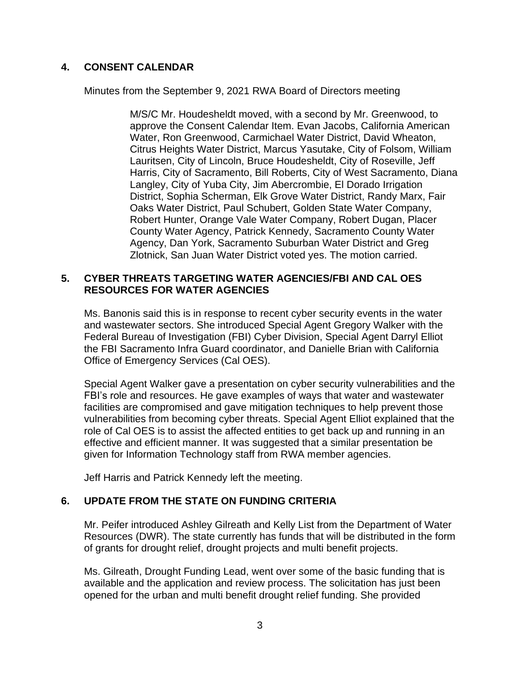## **4. CONSENT CALENDAR**

Minutes from the September 9, 2021 RWA Board of Directors meeting

M/S/C Mr. Houdesheldt moved, with a second by Mr. Greenwood, to approve the Consent Calendar Item. Evan Jacobs, California American Water, Ron Greenwood, Carmichael Water District, David Wheaton, Citrus Heights Water District, Marcus Yasutake, City of Folsom, William Lauritsen, City of Lincoln, Bruce Houdesheldt, City of Roseville, Jeff Harris, City of Sacramento, Bill Roberts, City of West Sacramento, Diana Langley, City of Yuba City, Jim Abercrombie, El Dorado Irrigation District, Sophia Scherman, Elk Grove Water District, Randy Marx, Fair Oaks Water District, Paul Schubert, Golden State Water Company, Robert Hunter, Orange Vale Water Company, Robert Dugan, Placer County Water Agency, Patrick Kennedy, Sacramento County Water Agency, Dan York, Sacramento Suburban Water District and Greg Zlotnick, San Juan Water District voted yes. The motion carried.

### **5. CYBER THREATS TARGETING WATER AGENCIES/FBI AND CAL OES RESOURCES FOR WATER AGENCIES**

Ms. Banonis said this is in response to recent cyber security events in the water and wastewater sectors. She introduced Special Agent Gregory Walker with the Federal Bureau of Investigation (FBI) Cyber Division, Special Agent Darryl Elliot the FBI Sacramento Infra Guard coordinator, and Danielle Brian with California Office of Emergency Services (Cal OES).

Special Agent Walker gave a presentation on cyber security vulnerabilities and the FBI's role and resources. He gave examples of ways that water and wastewater facilities are compromised and gave mitigation techniques to help prevent those vulnerabilities from becoming cyber threats. Special Agent Elliot explained that the role of Cal OES is to assist the affected entities to get back up and running in an effective and efficient manner. It was suggested that a similar presentation be given for Information Technology staff from RWA member agencies.

Jeff Harris and Patrick Kennedy left the meeting.

# **6. UPDATE FROM THE STATE ON FUNDING CRITERIA**

Mr. Peifer introduced Ashley Gilreath and Kelly List from the Department of Water Resources (DWR). The state currently has funds that will be distributed in the form of grants for drought relief, drought projects and multi benefit projects.

Ms. Gilreath, Drought Funding Lead, went over some of the basic funding that is available and the application and review process. The solicitation has just been opened for the urban and multi benefit drought relief funding. She provided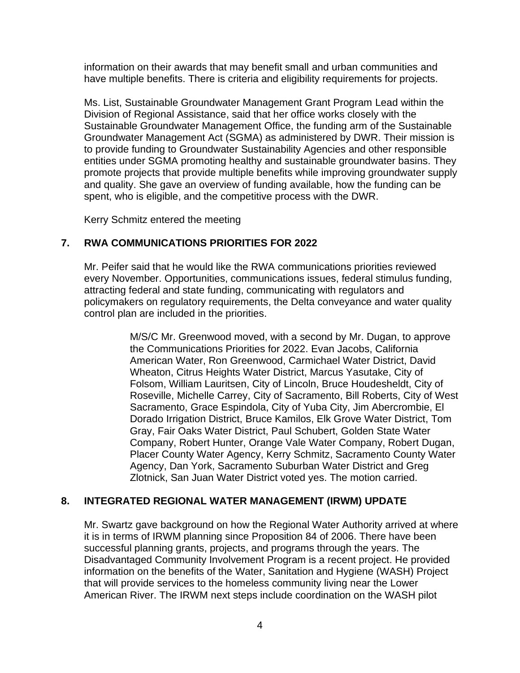information on their awards that may benefit small and urban communities and have multiple benefits. There is criteria and eligibility requirements for projects.

Ms. List, Sustainable Groundwater Management Grant Program Lead within the Division of Regional Assistance, said that her office works closely with the Sustainable Groundwater Management Office, the funding arm of the Sustainable Groundwater Management Act (SGMA) as administered by DWR. Their mission is to provide funding to Groundwater Sustainability Agencies and other responsible entities under SGMA promoting healthy and sustainable groundwater basins. They promote projects that provide multiple benefits while improving groundwater supply and quality. She gave an overview of funding available, how the funding can be spent, who is eligible, and the competitive process with the DWR.

Kerry Schmitz entered the meeting

## **7. RWA COMMUNICATIONS PRIORITIES FOR 2022**

Mr. Peifer said that he would like the RWA communications priorities reviewed every November. Opportunities, communications issues, federal stimulus funding, attracting federal and state funding, communicating with regulators and policymakers on regulatory requirements, the Delta conveyance and water quality control plan are included in the priorities.

> M/S/C Mr. Greenwood moved, with a second by Mr. Dugan, to approve the Communications Priorities for 2022. Evan Jacobs, California American Water, Ron Greenwood, Carmichael Water District, David Wheaton, Citrus Heights Water District, Marcus Yasutake, City of Folsom, William Lauritsen, City of Lincoln, Bruce Houdesheldt, City of Roseville, Michelle Carrey, City of Sacramento, Bill Roberts, City of West Sacramento, Grace Espindola, City of Yuba City, Jim Abercrombie, El Dorado Irrigation District, Bruce Kamilos, Elk Grove Water District, Tom Gray, Fair Oaks Water District, Paul Schubert, Golden State Water Company, Robert Hunter, Orange Vale Water Company, Robert Dugan, Placer County Water Agency, Kerry Schmitz, Sacramento County Water Agency, Dan York, Sacramento Suburban Water District and Greg Zlotnick, San Juan Water District voted yes. The motion carried.

# **8. INTEGRATED REGIONAL WATER MANAGEMENT (IRWM) UPDATE**

Mr. Swartz gave background on how the Regional Water Authority arrived at where it is in terms of IRWM planning since Proposition 84 of 2006. There have been successful planning grants, projects, and programs through the years. The Disadvantaged Community Involvement Program is a recent project. He provided information on the benefits of the Water, Sanitation and Hygiene (WASH) Project that will provide services to the homeless community living near the Lower American River. The IRWM next steps include coordination on the WASH pilot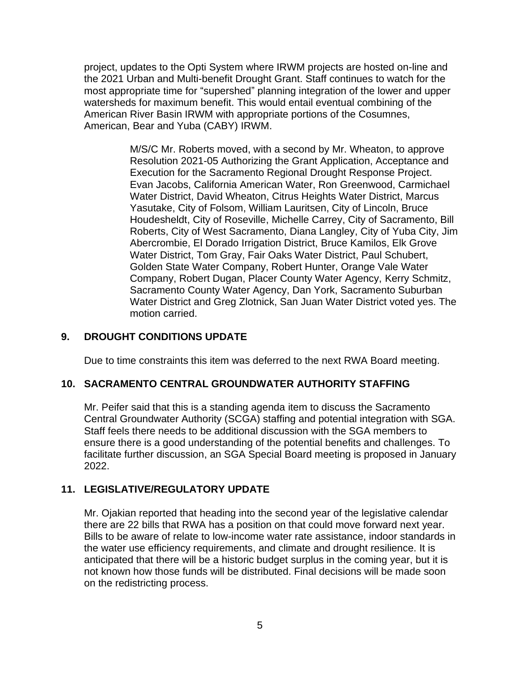project, updates to the Opti System where IRWM projects are hosted on-line and the 2021 Urban and Multi-benefit Drought Grant. Staff continues to watch for the most appropriate time for "supershed" planning integration of the lower and upper watersheds for maximum benefit. This would entail eventual combining of the American River Basin IRWM with appropriate portions of the Cosumnes, American, Bear and Yuba (CABY) IRWM.

> M/S/C Mr. Roberts moved, with a second by Mr. Wheaton, to approve Resolution 2021-05 Authorizing the Grant Application, Acceptance and Execution for the Sacramento Regional Drought Response Project. Evan Jacobs, California American Water, Ron Greenwood, Carmichael Water District, David Wheaton, Citrus Heights Water District, Marcus Yasutake, City of Folsom, William Lauritsen, City of Lincoln, Bruce Houdesheldt, City of Roseville, Michelle Carrey, City of Sacramento, Bill Roberts, City of West Sacramento, Diana Langley, City of Yuba City, Jim Abercrombie, El Dorado Irrigation District, Bruce Kamilos, Elk Grove Water District, Tom Gray, Fair Oaks Water District, Paul Schubert, Golden State Water Company, Robert Hunter, Orange Vale Water Company, Robert Dugan, Placer County Water Agency, Kerry Schmitz, Sacramento County Water Agency, Dan York, Sacramento Suburban Water District and Greg Zlotnick, San Juan Water District voted yes. The motion carried.

# **9. DROUGHT CONDITIONS UPDATE**

Due to time constraints this item was deferred to the next RWA Board meeting.

#### **10. SACRAMENTO CENTRAL GROUNDWATER AUTHORITY STAFFING**

Mr. Peifer said that this is a standing agenda item to discuss the Sacramento Central Groundwater Authority (SCGA) staffing and potential integration with SGA. Staff feels there needs to be additional discussion with the SGA members to ensure there is a good understanding of the potential benefits and challenges. To facilitate further discussion, an SGA Special Board meeting is proposed in January 2022.

### **11. LEGISLATIVE/REGULATORY UPDATE**

Mr. Ojakian reported that heading into the second year of the legislative calendar there are 22 bills that RWA has a position on that could move forward next year. Bills to be aware of relate to low-income water rate assistance, indoor standards in the water use efficiency requirements, and climate and drought resilience. It is anticipated that there will be a historic budget surplus in the coming year, but it is not known how those funds will be distributed. Final decisions will be made soon on the redistricting process.